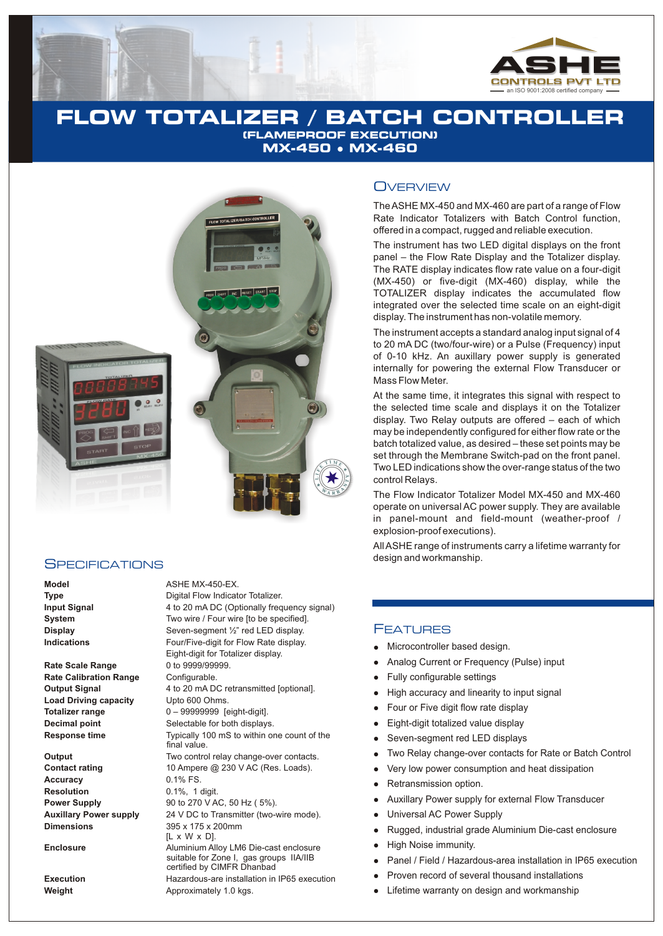

# **FLOW TOTALIZER / BATCH CONTROLLER (FLAMEPROOF EXECUTION) MX-450** l **MX-460**



### **SPECIFICATIONS**

**Rate Scale Range** 0 to 9999/99999. **Rate Calibration Range Configurable. Load Driving capacity** Upto 600 Ohms.

**Accuracy** 0.1% FS. **Resolution** 0.1%, 1 digit. **Dimensions** 395 x 175 x 200mm

**Model** ASHE MX-450-EX. **Type** Digital Flow Indicator Totalizer. **Input Signal** 4 to 20 mA DC (Optionally frequency signal) **System** Two wire / Four wire [to be specified].<br> **Display** Seven-seqment <sup>1</sup>/<sub>2</sub>" red LED display. **Display** Seven-segment ½" red LED display. **Indications Four/Five-digit for Flow Rate display.** Eight-digit for Totalizer display. **Output Signal** 4 to 20 mA DC retransmitted [optional]. **Totalizer range** 0 – 99999999 [eight-digit]. **Decimal point** Selectable for both displays. **Response time** Typically 100 mS to within one count of the final value. **Output** Two control relay change-over contacts.<br> **Contact rating** 10 Ampere @ 230 V AC (Res. Loads). 10 Ampere @ 230 V AC (Res. Loads). **Power Supply** 90 to 270 V AC, 50 Hz (  $5\%$ ). **Auxillary Power supply** 24 V DC to Transmitter (two-wire mode). [L x W x D]. **Enclosure Aluminium Alloy LM6 Die-cast enclosure** suitable for Zone I, gas groups IIA/IIB certified by CIMFR Dhanbad **Execution Execution** Hazardous-are installation in IP65 execution **Weight Approximately 1.0 kgs.** 

### **OVERVIEW**

The ASHE MX-450 and MX-460 are part of a range of Flow Rate Indicator Totalizers with Batch Control function, offered in a compact, rugged and reliable execution.

The instrument has two LED digital displays on the front panel – the Flow Rate Display and the Totalizer display. The RATE display indicates flow rate value on a four-digit (MX-450) or five-digit (MX-460) display, while the TOTALIZER display indicates the accumulated flow integrated over the selected time scale on an eight-digit display. The instrument has non-volatile memory.

The instrument accepts a standard analog input signal of 4 to 20 mA DC (two/four-wire) or a Pulse (Frequency) input of 0-10 kHz. An auxillary power supply is generated internally for powering the external Flow Transducer or Mass Flow Meter.

At the same time, it integrates this signal with respect to the selected time scale and displays it on the Totalizer display. Two Relay outputs are offered – each of which may be independently configured for either flow rate or the batch totalized value, as desired – these set points may be set through the Membrane Switch-pad on the front panel. Two LED indications show the over-range status of the two control Relays.

The Flow Indicator Totalizer Model MX-450 and MX-460 operate on universal AC power supply. They are available in panel-mount and field-mount (weather-proof / explosion-proof executions).

All ASHE range of instruments carry a lifetime warranty for design and workmanship.

### FEATURES

- Microcontroller based design.
- Analog Current or Frequency (Pulse) input
- lllly and Fully High Four Two Very<br>Illell Seville Retains Retains Retains Retains Retains Retains Retains Retains Retains Retains Retains Retains Retains Retains Retains Retains Retains Retains Retains Retains Retains Ret Fully configurable settings
- High accuracy and linearity to input signal
- Four or Five digit flow rate display
- Eight-digit totalized value display
- Seven-segment red LED displays
- Two Relay change-over contacts for Rate or Batch Control
- Very low power consumption and heat dissipation
- Retransmission option.
- Auxillary Power supply for external Flow Transducer
- Universal AC Power Supply  $\bullet$
- Rugged, industrial grade Aluminium Die-cast enclosure
- High Noise immunity.
- Panel / Field / Hazardous-area installation in IP65 execution
- Proven record of several thousand installations
- Lifetime warranty on design and workmanship